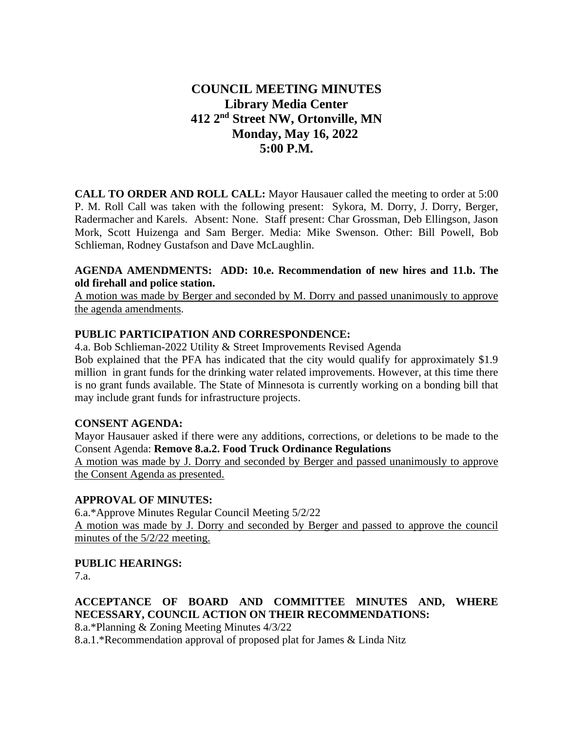# **COUNCIL MEETING MINUTES Library Media Center 412 2nd Street NW, Ortonville, MN Monday, May 16, 2022 5:00 P.M.**

**CALL TO ORDER AND ROLL CALL:** Mayor Hausauer called the meeting to order at 5:00 P. M. Roll Call was taken with the following present: Sykora, M. Dorry, J. Dorry, Berger, Radermacher and Karels. Absent: None. Staff present: Char Grossman, Deb Ellingson, Jason Mork, Scott Huizenga and Sam Berger. Media: Mike Swenson. Other: Bill Powell, Bob Schlieman, Rodney Gustafson and Dave McLaughlin.

#### **AGENDA AMENDMENTS: ADD: 10.e. Recommendation of new hires and 11.b. The old firehall and police station.**

A motion was made by Berger and seconded by M. Dorry and passed unanimously to approve the agenda amendments.

### **PUBLIC PARTICIPATION AND CORRESPONDENCE:**

4.a. Bob Schlieman-2022 Utility & Street Improvements Revised Agenda

Bob explained that the PFA has indicated that the city would qualify for approximately \$1.9 million in grant funds for the drinking water related improvements. However, at this time there is no grant funds available. The State of Minnesota is currently working on a bonding bill that may include grant funds for infrastructure projects.

#### **CONSENT AGENDA:**

Mayor Hausauer asked if there were any additions, corrections, or deletions to be made to the Consent Agenda: **Remove 8.a.2. Food Truck Ordinance Regulations**

A motion was made by J. Dorry and seconded by Berger and passed unanimously to approve the Consent Agenda as presented.

#### **APPROVAL OF MINUTES:**

6.a.\*Approve Minutes Regular Council Meeting 5/2/22 A motion was made by J. Dorry and seconded by Berger and passed to approve the council minutes of the 5/2/22 meeting.

## **PUBLIC HEARINGS:**

7.a.

## **ACCEPTANCE OF BOARD AND COMMITTEE MINUTES AND, WHERE NECESSARY, COUNCIL ACTION ON THEIR RECOMMENDATIONS:**

8.a.\*Planning & Zoning Meeting Minutes 4/3/22

8.a.1.\*Recommendation approval of proposed plat for James & Linda Nitz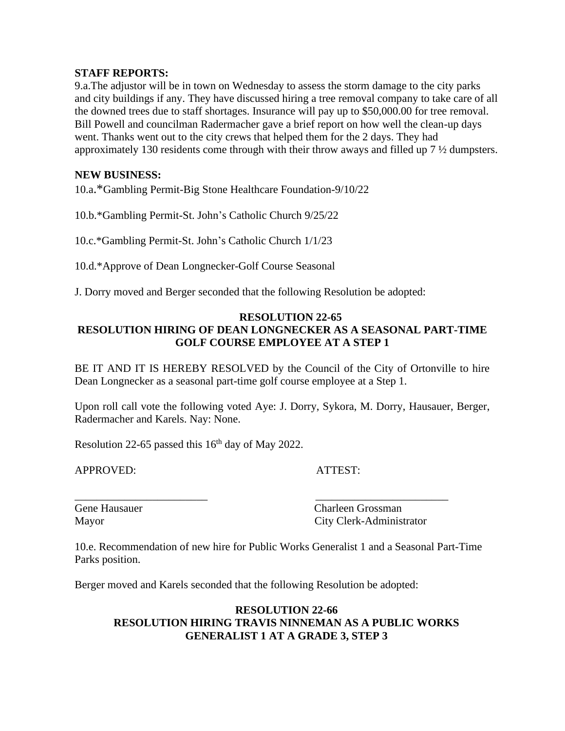#### **STAFF REPORTS:**

9.a.The adjustor will be in town on Wednesday to assess the storm damage to the city parks and city buildings if any. They have discussed hiring a tree removal company to take care of all the downed trees due to staff shortages. Insurance will pay up to \$50,000.00 for tree removal. Bill Powell and councilman Radermacher gave a brief report on how well the clean-up days went. Thanks went out to the city crews that helped them for the 2 days. They had approximately 130 residents come through with their throw aways and filled up 7 ½ dumpsters.

#### **NEW BUSINESS:**

10.a.\*Gambling Permit-Big Stone Healthcare Foundation-9/10/22

10.b.\*Gambling Permit-St. John's Catholic Church 9/25/22

10.c.\*Gambling Permit-St. John's Catholic Church 1/1/23

10.d.\*Approve of Dean Longnecker-Golf Course Seasonal

J. Dorry moved and Berger seconded that the following Resolution be adopted:

#### **RESOLUTION 22-65 RESOLUTION HIRING OF DEAN LONGNECKER AS A SEASONAL PART-TIME GOLF COURSE EMPLOYEE AT A STEP 1**

BE IT AND IT IS HEREBY RESOLVED by the Council of the City of Ortonville to hire Dean Longnecker as a seasonal part-time golf course employee at a Step 1.

Upon roll call vote the following voted Aye: J. Dorry, Sykora, M. Dorry, Hausauer, Berger, Radermacher and Karels. Nay: None.

Resolution 22-65 passed this  $16<sup>th</sup>$  day of May 2022.

APPROVED: ATTEST:

Gene Hausauer Charleen Grossman Mayor City Clerk-Administrator

10.e. Recommendation of new hire for Public Works Generalist 1 and a Seasonal Part-Time Parks position.

\_\_\_\_\_\_\_\_\_\_\_\_\_\_\_\_\_\_\_\_\_\_\_\_ \_\_\_\_\_\_\_\_\_\_\_\_\_\_\_\_\_\_\_\_\_\_\_\_

Berger moved and Karels seconded that the following Resolution be adopted:

#### **RESOLUTION 22-66 RESOLUTION HIRING TRAVIS NINNEMAN AS A PUBLIC WORKS GENERALIST 1 AT A GRADE 3, STEP 3**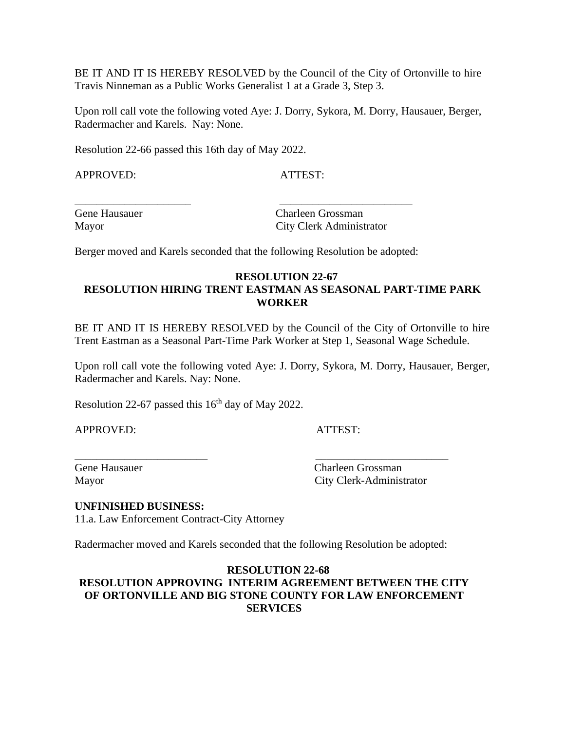BE IT AND IT IS HEREBY RESOLVED by the Council of the City of Ortonville to hire Travis Ninneman as a Public Works Generalist 1 at a Grade 3, Step 3.

Upon roll call vote the following voted Aye: J. Dorry, Sykora, M. Dorry, Hausauer, Berger, Radermacher and Karels. Nay: None.

Resolution 22-66 passed this 16th day of May 2022.

APPROVED: ATTEST:

Gene Hausauer Charleen Grossman Mayor City Clerk Administrator

Berger moved and Karels seconded that the following Resolution be adopted:

\_\_\_\_\_\_\_\_\_\_\_\_\_\_\_\_\_\_\_\_\_ \_\_\_\_\_\_\_\_\_\_\_\_\_\_\_\_\_\_\_\_\_\_\_\_

#### **RESOLUTION 22-67 RESOLUTION HIRING TRENT EASTMAN AS SEASONAL PART-TIME PARK WORKER**

BE IT AND IT IS HEREBY RESOLVED by the Council of the City of Ortonville to hire Trent Eastman as a Seasonal Part-Time Park Worker at Step 1, Seasonal Wage Schedule.

Upon roll call vote the following voted Aye: J. Dorry, Sykora, M. Dorry, Hausauer, Berger, Radermacher and Karels. Nay: None.

Resolution 22-67 passed this  $16<sup>th</sup>$  day of May 2022.

APPROVED: ATTEST:

Gene Hausauer Charleen Grossman Mayor City Clerk-Administrator

#### **UNFINISHED BUSINESS:**

11.a. Law Enforcement Contract-City Attorney

Radermacher moved and Karels seconded that the following Resolution be adopted:

\_\_\_\_\_\_\_\_\_\_\_\_\_\_\_\_\_\_\_\_\_\_\_\_ \_\_\_\_\_\_\_\_\_\_\_\_\_\_\_\_\_\_\_\_\_\_\_\_

#### **RESOLUTION 22-68 RESOLUTION APPROVING INTERIM AGREEMENT BETWEEN THE CITY OF ORTONVILLE AND BIG STONE COUNTY FOR LAW ENFORCEMENT SERVICES**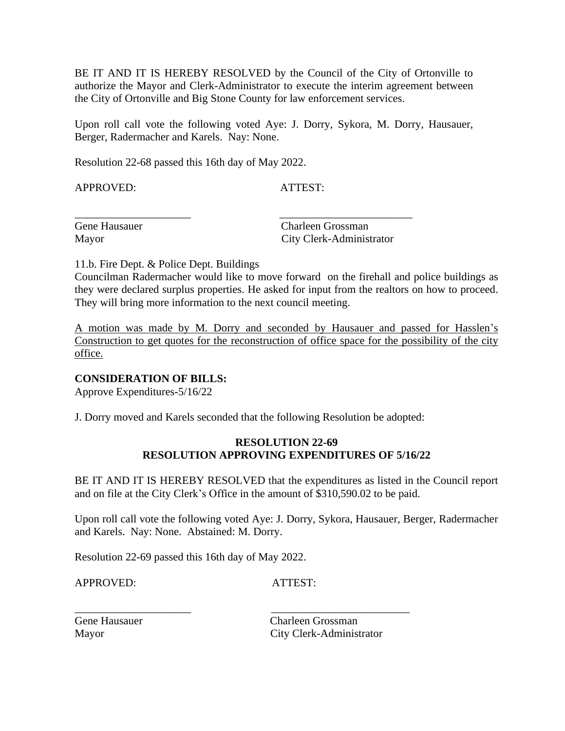BE IT AND IT IS HEREBY RESOLVED by the Council of the City of Ortonville to authorize the Mayor and Clerk-Administrator to execute the interim agreement between the City of Ortonville and Big Stone County for law enforcement services.

Upon roll call vote the following voted Aye: J. Dorry, Sykora, M. Dorry, Hausauer, Berger, Radermacher and Karels. Nay: None.

\_\_\_\_\_\_\_\_\_\_\_\_\_\_\_\_\_\_\_\_\_ \_\_\_\_\_\_\_\_\_\_\_\_\_\_\_\_\_\_\_\_\_\_\_\_

Resolution 22-68 passed this 16th day of May 2022.

APPROVED: ATTEST:

Gene Hausauer Charleen Grossman Mayor City Clerk-Administrator

11.b. Fire Dept. & Police Dept. Buildings

Councilman Radermacher would like to move forward on the firehall and police buildings as they were declared surplus properties. He asked for input from the realtors on how to proceed. They will bring more information to the next council meeting.

A motion was made by M. Dorry and seconded by Hausauer and passed for Hasslen's Construction to get quotes for the reconstruction of office space for the possibility of the city office.

## **CONSIDERATION OF BILLS:**

Approve Expenditures-5/16/22

J. Dorry moved and Karels seconded that the following Resolution be adopted:

#### **RESOLUTION 22-69 RESOLUTION APPROVING EXPENDITURES OF 5/16/22**

BE IT AND IT IS HEREBY RESOLVED that the expenditures as listed in the Council report and on file at the City Clerk's Office in the amount of \$310,590.02 to be paid.

Upon roll call vote the following voted Aye: J. Dorry, Sykora, Hausauer, Berger, Radermacher and Karels. Nay: None. Abstained: M. Dorry.

Resolution 22-69 passed this 16th day of May 2022.

APPROVED: ATTEST:

\_\_\_\_\_\_\_\_\_\_\_\_\_\_\_\_\_\_\_\_\_ \_\_\_\_\_\_\_\_\_\_\_\_\_\_\_\_\_\_\_\_\_\_\_\_\_

Gene Hausauer Charleen Grossman Mayor City Clerk-Administrator